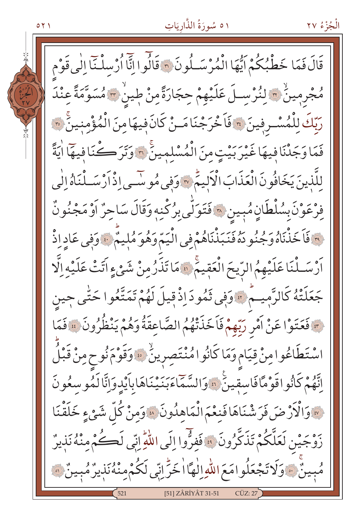# ١٥ سُورَةُ الذَّاريَاتِ

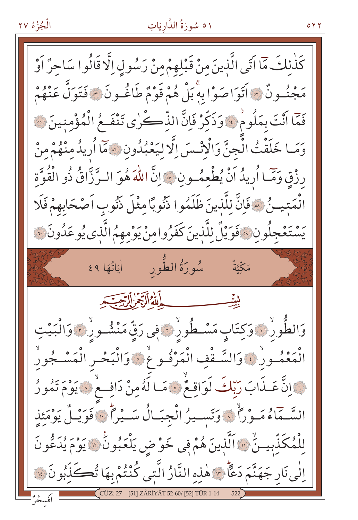الْجُزْءُ ٢٧

#### ۱ ٥ سُورَةُ الذَّارِيَاتِ

كَذٰلكَ مَّا آتَى الَّذينَ منْ قَبْلهمْ مِنْ رَسُولِ اِلَّا قَالُوا سَاحِرٌ أَوْ مَجْنُـونٌ \* أَتَوَاصَوْا بِهِ بَلْ هُمْ قَوْمٌ طَاغُـونَ \* فَتَوَلَّ عَنْهُمْ فَمَا أَنْتَ بِمَلُومٌ فَهُ وَذَكِّرْ فَإِنَّ الذِّكْرٰى تَنْفَعُ الْمُؤْمِنِينَ \*\* وَمَا خَلَقْتُ الْجِنَّ وَالْانْسَ الَّا لِيَعْبُدُونِ ﴾ مَّا أُرِيدُ مِنْهُمْ مِنْ رِزْقٍ وَمَّا أُرِيدُ اَنْ يُطْعِمُ وِنِ ۞ إِنَّ اللَّهَ هُوَ البِرَّزَّاقُ ذُو الْقُوَّةِ الْمَتيلُ ۞ فَإِنَّ لِلَّذِينَ ظَلَمُوا ذَنُوبًا مِثْلَ ذَنُوبِ اَصْحَابِهِمْ فَلَا يَسْتَعْجِلُونِ ﴾ فَوَيْلٌ لِلَّذِينَ كَفَرُوامِنْ يَوْمِهِمُ الَّذِي يُوعَدُونَ ﴾ الله الرقيم التحتيم وَالطُّورُ ۞ وَكِتَابٍ مَسْـطُورُ ۞ فِي رَقِّ مَنْشُـورُ ۞ وَالْبَيْتِ الْمَعْمُـورْ ﴾ وَالسَّـقْفِ الْمَرْفُـوحْ ﴾ وَالْبَحْـرِ الْمَسْـجُورِ لَّ إِنَّ عَـذَابَ رَبِّكَ لَوَاقِـعٌ لَا مَا لَهُ مِنْ دَافِــعٌ لَا يَوْمَ تَمُورُ السَّـمَّاءُ مَـوْرَاً ﴾ وَتَسـيرُ الْجِبَـالُ سَـيْرَاً ﴾ فَوَيْـلُ يَوْمَئِذِ لِلْمُكَذِّبِينَ ۚ ۚ وَالَّذِينَ هُمْ فِي خَوْضِ يَلْعَبُونَ ۚ وَوَ يُدَعُونَ اِلٰی نَار جَهَنَّمَ دَعًّاً \* هٰذِهِ النَّارُ الَّتِی كُنْتُمْ بِهَا تُڪَذِّبُونَ ۚ ۚ

۲ ۲ ۵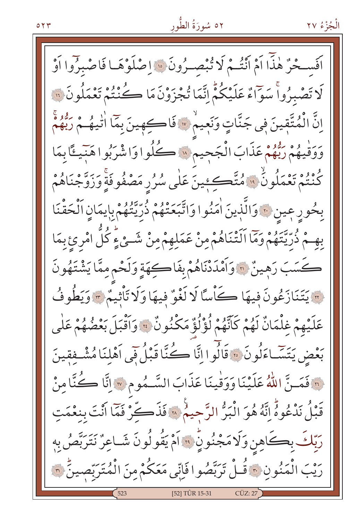اَفَسِحْرٌ هٰذًّا اَمْ أَنْتُمْ لَا تُبْصِرُونَ ۞ اِصْلَوْهَـا فَاصْبِرُوا اَوْ لَا تَصْبِرُواْ سَوَّاءٌ عَلَيْكُمْ إِنَّمَا تُجْزَوْنَ مَا كُنْتُمْ تَعْمَلُونَ ۞ اِنَّ الْمُتَّقِينَ فِي جَنَّاتٍ وَنَعِيمٌ \* فَاكْمِينَ بِمَا اٰتْيِهُمْ رَبُّهُمْ وَوَقْيَهُمْ رَبُّهُمْ عَذَابَ الْجَجِيمِ ۞ كَلُوا وَاشْرَبُوا هَبِّيئًا بِمَا كُنْتُمْ تَعْمَلُونُ ۚ وَمُتَّكِئِينَ عَلَى سُرُرِ مَصْفُوفَةٍ وَزَوَّجْنَاهُمْ بِحُورِ عِينٍ ۚ وَالَّذِينَ اٰمَنُوا وَاتَّبَعَتْهُمْ ذُرِّيَّتُهُمْ بِإِيمَانِ ٱلْحَقْنَا بِهِـمْ ذُرِّيَّتَهُمْ وَمَا اَلَتْنَاهُمْ مِنْ عَمَلِهِمْ مِنْ شَـئِ ءٍ كُلُّ امْرِئِ بِمَا كَسَبَ رَهِينٌ ٢٠ وَأَمْدَدْنَاهُمْ بِفَاكِهَةٍ وَلَحْمٍ مِمَّا يَشْتَهُونَ و يَتَنَازَعُونَ فِيهَا كَأْسًا لَا لَغْوٌ فِيهَا وَلَا تَأْثِيمٌ \* وَيَطُوفُ عَلَيْهِمْ غِلْمَانٌ لَهُمْ كَأَنَّهُمْ لُؤْلُؤٌ مَكْنُونٌ \* وَأَقْبَلَ بَعْضُهُمْ عَلَى بَعْضِ يَتَسَّاءَلُونَ ۞ قَالُوا إِنَّا كُنَّا قَبْلُ فَي أَهْلِنَا مُشْـفِقينَ لَّهَ فَمَسِنَّ اللَّهُ عَلَيْنَا وَوَقْيِنَا عَذَابَ السَّـمُومِ \* إِنَّا كُنَّا مِنْ قَبْلُ نَدْعُوهُ إِنَّهُ هُوَ الْبَرُّ الرَّحِيمُ « فَذَكِّرْ فَمَّا أَنْتَ بِنِعْمَتِ رَبِّكَ بِكَاهِنِ وَلَامَجْنُونِّ ۞ آمْ يَقُولُونَ شَـاعِرٌ نَتَرَبَّصُ بِهِ رَيْبَ الْمَنُونِ ﴾ قُـلْ تَرَبَّصُوا فَإِنِّي مَعَكُمْ مِنَ الْمُتَرَبِّصِينُ ۞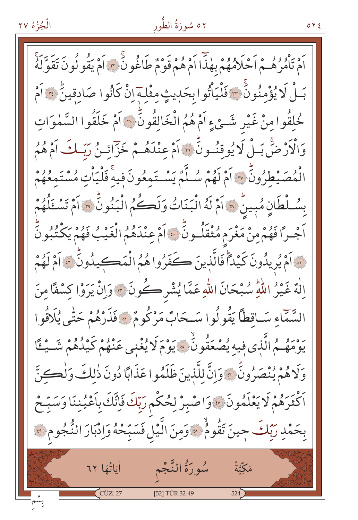# ٥٢ سُورَةُ الطُّور

 $0 Y E$ 

اَمْ يَأْمُرُهُــمْ اَحْلَامُهُمْ بِهٰذَا اَمْ هُمْ قَوْمٌ طَاغُونَ ٣ اَمْ يَقُو لُونَ تَقَوَّلَهُ بَـلْ لَا يُؤْمِنُونَ ٣ فَلْيَأْتُوا بِحَدِيثٍ مِثْلِـهِ إِنْ كَانُوا صَادِقِينَ ٣ أَمْ خُلِقُوا مِنْ غَيْرِ شَيْءٍ أَمْ هُمُ الْخَالِقُونَّ ۞ أَمْ خَلَقُوا السَّمٰوَاتِ وَالْأَرْضَ بَـلْ لَا يُوقِنُـونَ ۞ آَمْ عِنْدَهُـمْ خَزَّائِـنُ رَبَّـكَ آَمْ هُمُ الْمُصَيْطِرُونَّ ۞ اَمْ لَهُمْ سُلَّمٌ يَسْتَمِعُونَ فِيهِ فَلْيَاْتِ مُسْتَمِعُهُمْ بِسُلْطَانٍ مُبِينٌ هَذَاَمْ لَهُ الْبَنَاتُ وَلَكُمُ الْبَنُونَ \* اَمْ تَسْتَلُهُمْ اَجْـرًا فَهُمْ مِنْ مَغْرَم مُثْقَلُـونِّي لَا اَمْ عِنْدَهُمُ الْغَيْبُ فَهُمْ يَكْتُبُونِّ فَ اَمْ يُرِيدُونَ كَيْدَأَ فَالَّذِينَ كَفَرُوا هُمُ الْمَكِيدُونَّ ﴾ اَمْ لَهُمْ اِلْهٌ غَيْرُ اللَّهِ سُبْحَانَ اللَّهِ عَمَّا يُشْرِكُونَ ﴾ وَإِنْ يَرَوْا كِسْفًا مِنَ السَّمَاءِ سَـاقطاً يَقُولُوا سَـحَابٌ مَرْكُومٌ ۞ فَذَرْهُمْ حَتَّى يُلَاقُوا يَوْمَهُمُ الَّذِي فِيهِ يُصْعَقُونَ ۚ وَيَوْمَ لَا يُغْنِي عَنْهُمْ كَيْلُهُمْ شَــْـُـْمَّا وَلَاهُمْ يُنْصَرُونَّ بِهِ وَإِنَّ لِلَّذِينَ ظَلَمُوا عَذَابًا دُونَ ذٰلِكَ وَلِٰكِنَّ رَّةُ رَدُّمْ لَا يَعْلَمُونَ ۞ وَاصْبِرْ لِحُكْمِ رَبِّكَ فَإِنَّكَ بِأَعْيُنِنَا وَسَبِّحْ بِحَمْدِ رَبِّكَ جِينَ تَقُومُ هَوَمِنَ الَّيْلِ فَسَبِّحْهُ وَإِدْبَارَ النُّجُومِ فَقَ سُورَةُ النَّجْم أَيَاتُهَا ٦٢ مَكِّيَّةٌ [52] TÛR 32-49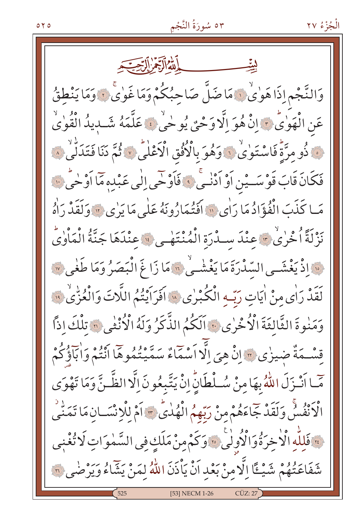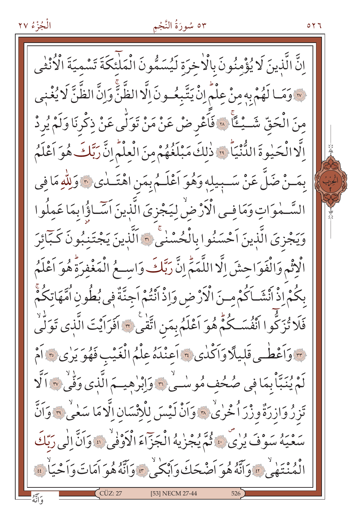#### ٥٣ سُورَةُ النَّجْمِ

إِنَّ الَّذِينَ لَا يُؤْمِنُونَ بِالْاخِرَةِ لَيُسَمُّونَ الْمَلْئِكَةَ تَسْمِيَةَ الْأُنْثَى وَمَا لَهُمْ بِهِ مِنْ عِلْمٍ إِنْ يَتَّبِعُهِ نَ إِلَّا الظَّنَّ وَإِنَّ الظَّنَّ لَا يُغْنِي مِنَ الْحَقِّ شَــْــُــًا ۚ « فَأَعْرِ ضْ عَنْ مَنْ تَوَلّٰى عَنْ ذِكْرِنَا وَلَمْ يُرِدْ اِلَّا الْحَيْوةَ الدُّنْيَاَ \* ذٰلِكَ مَبْلَغُهُمْ مِنَ الْعِلْمُ إِنَّ رَبَّكَ هُوَ اَعْلَمُ بِمَـنْ ضَلَّ عَنْ سَـبِيلِهِ وَهُوَ اَعْلَـمُ بِمَنِ اهْتَــلٰى ﴾ وَلِلّٰهِ مَا فِي السَّـمٰوَاتِ وَمَافِـى الْأَرْضِٰ لِيَجْزِيَ الَّذِينَ اَسَّـاؤُا بِمَا عَمِلُوا وَيَجْزِيَ الَّذِينَ اَحْسَنُوا بِالْحُسْنٰيِّ ۞ اَلَّذِينَ يَجْتَنِبُونَ كَـبَائِرَ الْإِثْمِ وَالْفَوَاحِشَ إِلَّا اللَّمَمِّ إِنَّ رَبَّكَ وَاسِعُ الْمَغْفِرَةُ هُوَ اَعْلَمُ بِكُمْ إِذْ اَنْشَـاَكُمْ مِـنَ الْأَرْضِ وَإِذْ اَنْتُمْ اَجِنَّةٌ فِي بُطُونِ اُمَّهَاتِكُمْ فَلَا تُزَكُّوا اَنْفُسَكُمْ هُوَ اَعْلَمُ بِمَنِ اتَّقٰىٰ ٣ اَفَرَاَيْتَ الَّذِى تَوَلَّىٰ م وَأَعْطُبِي قَلِيلًا وَأَكْدٰى ؟ أَعِنْدَهُ عِلْمُ الْغَيْبِ فَهُوَ يَرٰى ؟ أَمْ لَمْ يُنَبَّأْ بِمَا فِي صُحُفٍ مُوسْنِي ٢ وَإِبْرٰهِيِمَ الَّذِي وَفِّي ٣ اَلَّا تَزِرُ وَازِرَةٌ وِزْرَ ٱ خُرٰىٰ ۞ وَاَنْ لَيْسَ لِلْإِنْسَانِ اِلَّا مَا سَعٰىٰ ۞ وَاَنَّ بَرْهِ بَهُمْ سَوْفَ يُرِيٌّ فَ يُجْزِيهُ الْجَزَاءَ الْأَوْفِيُّ لِهِ وَأَنَّ الْبِي رَبَّكَ نْهُ مْمَنْتَهْجِي بِهَ وَآَنَّهُ هُوَ أَصْحَكَ وَأَبْكَىٰ \* وَآَنَّهُ هُوَ أَمَاتَ وَأَحْيَاٰ ۚ ﴾ [53] NECM 27-44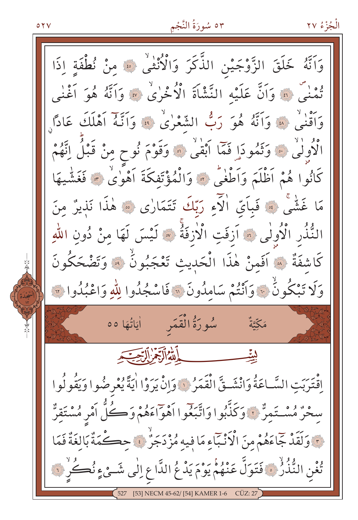$\circ$  ۲ $\vee$ 

### ٥٣ سُورَةُ النَّجْمِ

وَاتَّهُ خَلَقَ الزَّوْجَيْنِ الذَّكَرَ وَالْأُنْثَى ۚ ﴾ مِنْ نُطْفَةٍ إِذَا ودا<sup>م</sup> من وَاَنَّ عَلَيْهِ النَّشْأَةَ الْأُخْرٰىٰ ۞ وَاَنَّهُ هُوَ اَغْنٰى وَاَقْنَى ۚ ﴾ وَاَنَّهُ هُوَ رَبُّ الشَّعْرٰىٰ ﴾ وَاَنَّهُ اَهْلَكَ عَادًا وَ الْأُولَٰى ۚ وَتَمُودَا فَمَّا اَبْقَىٰ ۞ وَقَوْمَ نُوحٍ مِنْ قَبْلُ اِنَّهُمْ كَانُوا هُمْ اَظْلَمَ وَاَطْغٰى ﴾ وَالْمُؤْتَفِكَةَ اَهْوٰىٰ ﴾ فَغَشْيهَا مَا غَشْيٌ ۞ فَبِأَيِّ الْآءِ رَبِّكَ تَتَمَارٰى ۞ هٰذَا نَذِيرٌ مِنَ النُّذُرِ الْأُولَى ۞ اَزِفَتِ الْأَزِفَةُ ۞ لَيْسَ لَهَا مِنْ دُونِ اللَّهِ كَاشِفَةٌ ۞ أَفَمِنْ هٰذَا الْحَدِيثِ تَعْجَبُونُ ۞ وَتَضْحَكُونَ وَلَا تَبْكُونُ ۚ وَأَنْتُمْ سَامِلُونَ ۚ وَأَسْجُلُوا لِلَّهِ وَاعْبُلُوا ۚ وَ مَكِّيَّةٌ فسيسط الله الرجم التحقيق اِقْتَرَبَتِ السَّاعَةُ وَانْشَـقَّ الْقَمَرُ ﴾ وَإِنْ يَرَوْا اٰيَةً يُعْرِضُوا وَيَقُولُوا سِحْرٌ مُسْتَمِرٌّ ۚ وَكَذَّبُوا وَاتَّبَعُوا اَهْوَاءَهُمْ وَكُلُّ اَمْرِ مُسْتَقِرٌّ مِ وَلَقَدْ جَاءَهُمْ مِنَ الْأَنْبَاءِ مَا فِيهِ مُزْدَجَرٌ ۚ وَ حِكْمَةٌ بَالِغَةٌ فَمَا تْغْنِ النُّذُرُّ ﴾ فَتَوَلَّ عَنْهُمْ يَوْمَ يَدْعُ الدَّاعِ اِلٰى شَـئٍ ءٍ نُكِّرِ لَ؟ 53] NECM 45-62/ [54] KAMER 1-6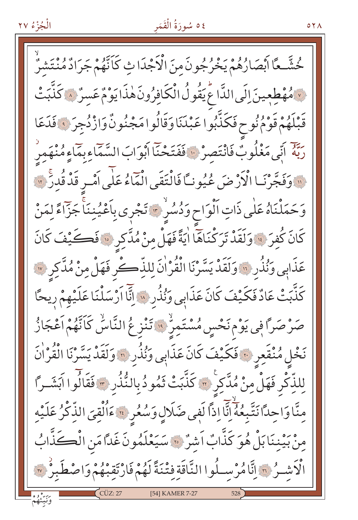## ٤٥ سُورَةُ الْقَمَر

 $\circ$   $\vee$   $\wedge$ 

حُشَّـعًا أَبْصَارُهُمْ يَخْرُجُونَ منَ الْأَجْدَا ثِ كَأَنَّهُمْ جَرَادٌ مُنْتَشْرٌ لَامُهْطِعِينَ إِلَى الدَّاعُ يَقُولُ الْكَافِرُونَ هٰذَا يَوْمٌ عَسرٌ ﴾ كَذَّبَتْ قَبْلَهُمْ قَوْمُ نُوحٍ فَكَنَّبُوا عَبْدَنَا وَقَالُوا مَجْنُونٌ وَازْدُجِرَ ﴾ فَدَعَا رَبَّهُ أَنِّي مَغْلُوبٌ فَانْتَصِرْ ۚ فَفَتَحْنَا أَبْوَابَ السَّمَاءِبِمَاءِمُنْهَمِر لِلَّهِ وَفَجَّرْنَـا الْأَرْضَ عُيُونَـّا فَالْتَقَى الْمَاءُ عَلَى آمْـرِ قَدْ قُدرَّ لَهَ لَهِ مَ وَحَمَلْنَاهُ عَلَى ذَاتِ اَلْوَاحٍ وَدُسُرٌ ﴾ تَجْرِي بِاَعْيُنِنَاْ جَزَّاءً لِمَنْ كَانَ كُفِرَ ۚ وَلَقَدْ تَرَكْنَاهَا اٰيَةً فَهَلْ مِنْ مُدَّكِرٍ ۚ فَكَيْفَ كَانَ عَذَابِي وَنُذُرِ ۚ وَلَقَدْ يَسَّرْنَا الْقُرْاٰنَ لِلذِّكْرِ فَهَلْ مِنْ مُدَّكِرِ ﴾ كَذَّبَتْ عَادٌ فَكَيْفَ كَانَ عَذَابِي وَنُذُرِ ﴾ إِنَّآ اَرْسَلْنَا عَلَيْهِمْ رِيحًا صَرْصَرًا فِي يَوْمِ نَحْسِ مُسْتَمِرٌ ۚ وَاتَنْزِعُ النَّاسُ كَانَّهُمْ اَعْجَازُ نَخْلِ مُنْقَعِرِ ﴾ فَكَيْفَ كَانَ عَذَابِي وَنُذُرِ <mark>؟</mark> وَلَقَدْ يَسَّرْنَا الْقُرْاٰنَ لِلذِّكْرِ فَهَلْ مِنْ مُدَّكِرٍ ۚ كَذَّبَتْ ثَمُودُ بِالنُّنُدِ ﴾ فَقَالُوا آبَشَـراً مِنَّا وَاحِدًا نَتَّبِعُهُۚ إِنَّا إِذاً لَفِي ضَلَالٍ وَسُعُرِ ۚ ۚ ءَاُلْقِيَ الذِّكْرُ عَلَيْهِ مِنْ بَيْنِنَا بَلْ هُوَ كَذَّابٌ اَشِرٌ ۞ سَيَعْلَمُونَ غَدًّا مَنِ الْكَلَّابُ الْأَشْـرُ ۞ إِنَّامُرْسِـلُوا النَّاقَةِ فِتْنَةً لَهُمْ فَارْتَقِبْهُمْ وَاصْطَبِرُ ۞ [54] KAMER 7-27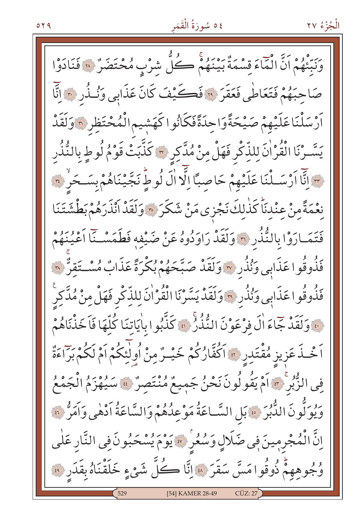# ٤٥ سُورَةُ الْقَمَر

الْجُزْءُ ٢٧

بِرَ وُو وَالْمَاءَ قِسْمَةٌ بَيْنَهُمْ كُلّْ شِرْبٍ مُحْتَضَرٌ ۚ ﴾ فَنَادَوْا صَاحِبَهُمْ فَتَعَاطَى فَعَقَرَ ﴾ فَكَيْفَ كَانَ عَذَابِي وَنُذُرِ ﴾ إِنَّا أَرْسَلْنَاعَلَيْهِمْ صَيْحَةًوَاحِدَةًفَكَانُوا كَهَشِيم الْمُحْتَظِرِ ٦ وَلَقَدْ يَسَّـرْنَا الْقُرْاٰنَ لِلذِّكْرِ فَهَلْ مِنْ مُدَّكِرِ ۞ كَذَّبَتْ قَوْمُ لُوطٍ بِالنُّذُرِ مِسَالِّنَّا اَرْسَــلْنَا عَلَيْهِمْ حَاصِبًا إِلَّا الَّ لُوطٍ نَجَّيْنَاهُمْ بِسَـحَرٍ ۚ ٣ نعْمَةً منْ عنْدنَاً كَذٰلكَ نَجْزى مَنْ شَكَرَ ﴾ وَلَقَدْ أَنْذَرَهُمْ بَطْشَتَنَا فَتَمَارَوْا بِالنُّذُرِ ﴾ وَلَقَدْ رَاوَدُوهُ عَنْ ضَيْفِهِ فَطَمَسْـنَا أَعْيُنَهُمْ فَذُوقُوا عَذَابِي وَنُذُرِ ۞ وَلَقَدْ صَبَّحَهُمْ بُكْرَةً عَذَابٌ مُسْتَقِنٌّ ۞ فَذُوقُوا عَذَابِي وَنُذُرِ \* وَلَقَدْ يَسَّرْنَا الْقُرْانَ لِلذِّكْرِ فَهَلْ مِنْ مُدَّكِر نَّهَ وَلَقَدْ جَاءَ أَلَ فِرْعَوْنَ النُّنُذُرُ ۞ كَذَّبُوا بِأَيَاتِنَا كُلَّهَا فَاَخَذْنَاهُمْ اَخْـذَ عَزِيزِ مُقْتَدِرٍ \* اَكْفَّارُكُمْ خَيْـرٌ مِنْ أُولْئِكُمْ اَمْ لَكُمْ بَرَّاءَةٌ فِي الزَّبْرِ ۚ ﴾ آمْ يَقُولُونَ نَحْنُ جَمِيعٌ مُنْتَصِرٌ ۚ ﴾ سَيُهْزَمُ الْجَمْعُ وَيُولَّونَ الدُّبُرَ \* بَلِ السَّاعَةُ مَوْعِدُهُمْ وَالسَّاعَةُ أَدْهٰى وَأَمَرُّ ؟ \* اِنَّ الْمُجْرِمِينَ فِي ضَلَالٍ وَسُعْرِ ۞ يَوْمَ يُسْحَبُونَ فِي النَّارِ عَلٰى وُجُوهِهِمْ ذُوقُوا مَسَّ سَقَرَ ۞ إِنَّا كُلُّ شَيْءٍ خَلَقْنَاهُ بِقَدَرِ ۞ [54] KAMER 28-49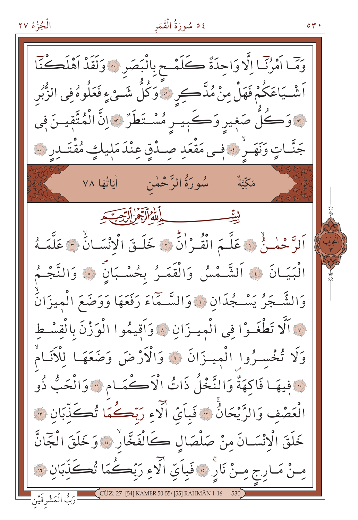الْجُزْءُ ٢٧ ٤٥ سُورَةُ الْقَمَر وَمَّا أَمْرُنَّا إِلَّا وَاحِدَةٌ كَلَمْحِ بِالْبَصَرِ ۞ وَلَقَدْ أَهْلَكُنَّا اَشْـيَاعَكُمْ فَهَلْ مِنْ مُدَّكِّرِ ﴿ وَكُلَّ شَـئٍ ءٍ فَعَلُوهُ فِي الزُّبُرِ هُ وَكُلِّ صَغِيرِ وَكَبِيـرِ مُسْتَطَرٌ ، إِنَّ الْمُتَّقِيـنَ فِي جَنَّاتٍ وَنَهَـرٍ ۚ فَعِي مَقْعَدِ صِـدْقٍ عِنْدَ مَلِيلَئٍ مُقْتَـدِرِ ﴾ سُورَةُ الرَّحْمٰن اٰیَاتُهَا ۷۸ مَكِّيَّةٌ مستكسب الأوالية التحقيقية اَلرَّحْمٰـنُ ۞ عَلَّـمَ الْقُـرُانُّ ۞ خَلَـقَ الْانْسَـانُ ۞ عَلَّمَـهُ الْبَيَـانَ ۞ اَلشَّـمْسُ وَالْقَمَـرُ بِحُسْـبَانِّ ۞ وَالنَّجْـمُ وَالشَّـجَرُ يَسْـجُدَانِ ۞ وَالسَّـمَاءَ رَفَعَهَا وَوَضَعَ الْميزَانُ نَ اَلَّا تَطْغَـوْا فِي الْمِيـزَانِ ۞ وَاَقِيمُوا الْوَزْنَ بِالْقِسْطِ وَلَا تُخْسِـرُوا الْمِيـزَانَ ﴾ وَالْأَرْضَ وَضَعَهَـا لِلْأَنَـامْ نَ فِيهَا فَاكِهَةٌ وَالنَّخْلُ ذَاتُ الْأَكْمَامِ لَا وَالْحَبُّ ذُو الْعَصْفِ وَالرَّيْحَانُّ ۞ فَبِأَىِّ الَّذِءِ رَبِّكُمَا تُصَكِّدِّبَانِ ۞ خَلَقَ الْانْسَـانَ منْ صَلْصَالِ كَالْفَخَّارِ ۚ وَخَلَقَ الْجَانَّ ـنْ مَـارِج مِـنْ نَارِ ۞ فَبِاَيِّ الْأَءِ رَبِّكُمَا تُكَذِّبَانِ ۞ رَبُّ الْمَشْرِقَيْن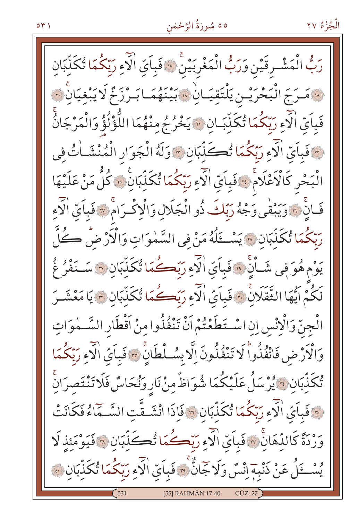### ٥٥ سُورَةُ الرَّحْمٰن

رَبُّ الْمَشْرِقَيْنِ وَرَبُّ الْمَغْرِبَيْنَ ۞ فَبِأَيِّ الْآءِ رَبِّكُمَا تُكَلِّبَانِ « مَـرَجَ الْبَحْرَيْـن يَلْتَقِيَـانِ ْ وَيَنْهُمَـا بَـرْزَخٌ لَا يَبْغيَانَ ۚ وَ فَبِاَيِّ الْآءِ رَبِّكُمَا تُكَذَّبَـانِ ۚ وَيُخْرُجُ مِنْهُمَا اللُّؤْلُؤُ وَالْمَرْجَانُّ .<br>« فَبِاَيِّ الْآءِ رَبِّكُمَا تُكَذِّبَانِ \* وَلَهُ الْجَوَارِ الْمُنْشَـاٰتُ فِي الْبَحْرِ كَالْأَعْلَامْ ۚ وَبَايَّ الْآءِ رَبَّكُمَا تُكَذِّبَانَ ۚ وَلَّا مَنْ عَلَيْهَا فَانَّ <mark>بِهِ وَيَبْقَى وَجْهُ رَبِّكَ ذُو الْجَلَالِ وَالْإِكْبَرَامَ » فَبِأَيِّ الْآءِ</mark> رَبّكُمَا تُكَلّبَانِ ۞ يَسْكَلُهُ مَنْ فِي السَّمٰوَاتِ وَالْأَرْضُ كُلَّ يَوْمِ هُوَ فِي شَـاْنِ ۚ وَيَامَى الْأَمِ رَبَّكُمَا تُكَذِّبَانِ ۚ سَـنَفْرُ غُ لَكُمْ ايُّهَا الثَّقَلَانَ ۞ فَبِاَيِّ الْآءِ رَبِّكُمَا تُكَذِّبَان ۞ يَا مَعْشَـرَ الْجِنِّ وَالْإِنْسِ إِنِ اسْتَطَعْتُمْ أَنْ تَنْفُذُوا مِنْ أَقْطَارِ السَّــٰموَاتِ وَالْأَرْضِ فَانْفُذُواً لَا تَنْفُذُونَ إِلَّا بِسُلْطَانٍّ ﴾ فَبايّ الْآءِ رَبّكُمَا تُكَلِّبَانِ ﴾ يُرْسَلُ عَلَيْكُمَا شُوَاظٌ مِنْ نَارِ وَنُحَاسٌ فَلَا تَنْتَصرَانِّ ِ ۖ فَبِاَىّ الْآءِ رَبّكُمَا تُكَلّبَانِ ۞ فَإِذَا انْشَـقَّتِ السَّـمَاءُ فَكَانَتْ وَرْدَةً كَالدِّهَانَّ \* فَبَاَيِّ الَّذِءِ رَبِّكُمَا تُكَذَّبَانِ \* فَيَوْمَئِذَ لَا يُسْتَلُ عَنْ ذَنْبِهِ إِنْسٌ وَلَا جَانٌّ ۚ وَيَاءَ فَبِاَيِّ الْآءِ رَبِّكُمَا تُكَذَّبَانَ ﴾ [55] RAHMÂN 17-40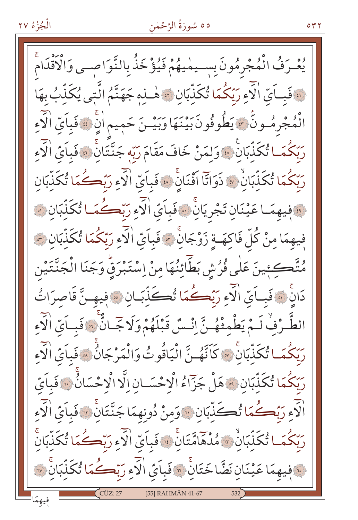#### ٥٥ سُورَةُ الرَّحْمٰنِ

۲ ۳ ه

يُعْرَفُ الْمُجْرِمُونَ بِسِيمْيِهُمْ فَيُؤْخَذُ بِالنَّوَاصِـي وَالْأَقْدَام ﴿ فَبِيَايِّ الْآءِ رَبِّكُمَا تُكَذِّبَانِ ﴾ هٰــٰذِهِ جَهَنَّمُ الَّتِي يُكَذِّبُ بِهَا الْمُجْرِمُـونَ \* يَطُوفُونَ بَيْنَهَا وَبَيْـنَ حَمِيم اٰنِّ \* فَباَيِّ الْآءِ رَبّكُمَـا تُكَذّبَانَ \* وَلمَنْ خَافَ مَقَامَ رَبّهِ جَنَّتَانَ \* فَباَيّ الْآءِ رَبِّكُمَا تُكَذِّبَانِ ۚ ۞ ذَوَاتَا اَفْنَانِۚ ۞ فَباَىّ الْآءِ رَبَّكُمَا تُكَذَّبَان فَيْهِمَا عَيْنَانِ تَجْرِيَانِ \* فَبِاَيِّ الْآءِ رَبِّكُمَا تُكَلَّبَان ﴾ فِيهِمَا مِنْ كُلِّ فَاكِهَـةٍ زَوْجَانٍ ۚ وَفَباَيِّ الْآءِ رَبِّكُمَا تُكَذَّبَانٍ ۚ مُتَّكِئِينَ عَلٰى فُرُشِ بَطَّائِنُهَا مِنْ اِسْتَبْرَقٍّ وَجَنَا الْجَنَّتَيْن دَانَ \* فَبِيَايِّ الْآءِ رَبِّكُمَا تُكَذَّبَانِ \* فِيهِ نَّ قَاصِرَاتُ الطَّـرُفِّ لَـمْ يَطْمِثْهُـنَّ اِنْـسُ قَبْلَهُمْ وَلَا جَّـانٌّ \* فَبِـاَيِّ الْآء رَبّكُمَــا تُكَذّبَانَّ ۞ كَأَنَّهُــنَّ الْيَاقُوتُ وَالْمَرْجَانُ ۞ فَبِأَيِّ الْآءِ رَبّكُمَا تُكَذِّبَانِ ۞ هَلْ جَزّاءُ الْاحْسَــانِ الَّا الْاحْسَانُ ۞ فَباَيّ الَّذِي رَبِّكُمَا تُكَذِّبَانِ ۞ وَمِنْ دُونِهِمَا جَنَّتَانَ ۞ فَبِأَيِّ الْأَءِ رَبّكُمَـا تُكَنّبَانُ \* مُدْهَامّتَانَ \* فَباَىّ الْآءِ رَبّكُـمَا تُكَنّبَانَّ وَ فِيهِمَا عَيْنَانِ نَضَّا خَتَانَّ ۞ فَبِأَيِّ الْآءِ رَبِّكُمَا تُكَذِّبَانَ ۞ [55] RAHMÂN 41-67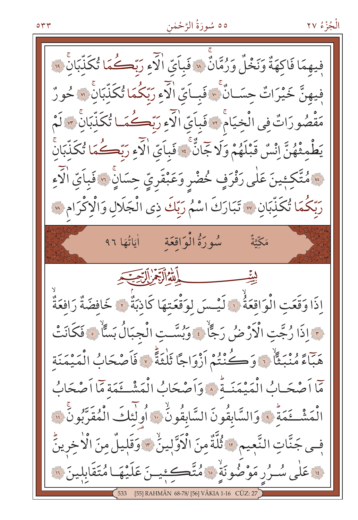#### ٥٥ سُورَةُ الرَّحْمٰن

فِيهِمَا فَاكِهَةٌ وَنَخْلٌ وَرُمَّانٌ \* فَبِاَيِّ الْآءِ رَبِّكُمَا تُكَذِّبَانَ \* فيهنَّ خَيْرَاتٌ حِسَـانٌ ۚ ۚ فَبِـاَيِّ الْآءِ رَبِّكُمَا تُكَلِّبَانَّ ۞ حُورٌ مَقْصُورَاتٌ فِي الْخِيَامُ \* فَبِأَيِّ الْآءِ رَبِّكُمَا تُكَذِّبَانَ \* لَمْ يَطْمِثْهُنَّ إِنْسٌ قَبْلَهُمْ وَلَا جَمَانٌّ ۚ » فَبِأَيِّ الْآءِ رَبِّكُمَا يُكَذِّبَانَّ مَّةَ كَجِينَ عَلَى رَفْرَفٍ خُضْرِ وَعَبْقَرِيِّ حِسَانٍ ۚ وَفَبِاَيِّ الْآءِ رِبِّكُمَا تُكَذِّبَانِ ۞ تَبَارَكَ اسْمُ رَبِّكَ ذِي الْجَلَالِ وَالْإِكْرَامِ ۞ سُورَةُ الْوَاقِعَةِ لَيَاتُهَا ٩٦ مَكِّتَةٌ الله الآخر التحييد إِذَا وَقَعَتِ الْوَاقِعَةُ ۚ لَيْسَ لِوَقْعَتِهَا كَاذِبَةٌ ۚ لَا خَافِضَةٌ رَافَعَةٌ مَّ اذَا رُجَّت الْأَرْضُ رَجًّا ۚ وَبُسَّت الْجِبَالُ بَسَّاْ ﴾ فَكَانَتْ حَبِّهَ مُنْبَعًّا ۚ نَ وَكُنْتُمْ أَزْوَاجًا ثَلْثَةً ۚ لَّا فَأَصْحَابُ الْمَيْمَنَة مَّا أَصْحَـابُ الْمَيْمَنَـةُ ﴾ وَأَصْحَابُ الْمَشْــتَمَةِ مَّا أَصْحَابُ الْمَشْخَمَةُ ۚ ، وَالسَّابِقُونَ السَّابِقُونُ ۚ ، أُولَٰئِكَ الْمُقَرَّبُونَ ۚ ﴾ فِـى جَنَّاتِ النَّعِيمِ ۞ ثُلَّةٌ مِنَ الْأَوَّلِينُ ۞ وَقَلِيلٌ مِنَ الْأَخِرِينُّ لَّهُ عَلَى سُـرُر مَوْضُونَةٍ ۚ وَالْمُتَّكِئِينَ عَلَيْهَا مُتَقَابِلِينَ ۞ [55] RAHMÂN 68-78/ [56] VÂKIA 1-16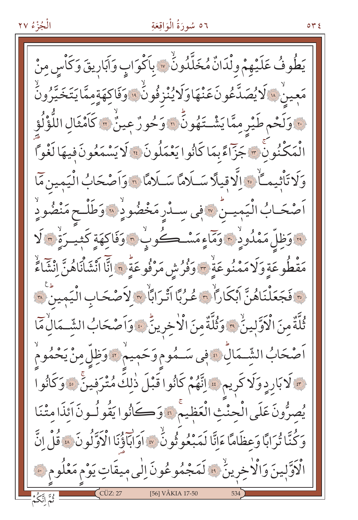### ٥٦ سُورَةُ الْوَاقِعَةِ

 $\circ$   $\star$   $\circ$ 

يَطُوفُ عَلَيْهِمْ وِلْدَانٌ مُخَلَّدُونُ ۞ بِأَكْوَابٍ وَآبَارِيقَ وَكَاْسٍ مِنْ مَعينْ «الْايُصَدَّعُونَ عَنْهَاوَلَايُنْزِفُونَُ «اوَفَاكِهَةٍمِمَّايَتَخَيَّرُونَ .. وَلَحْمِ طَيْرِ مِمَّا يَشْتَهُونَّ ۞ وَحُورٌ عِينٌ ۞ كَاَمْثَالِ اللُّؤْلُوَّ الْمَكْنُونْ ٣ جَزَّاءً بِمَا كَانُوا يَعْمَلُونَ \* لَا يَسْمَعُونَ فِيهَا لَغْوَّا وَلَا تَأْثِيمَاً ۚ وَالَّاقِيلَا سَلَامًا سَلَامًا ﴾ وَاَصْحَابُ الْيَمِينِ مَّا اَصْحَـابُ الْيَمِيـنُ « فِي سِـدْرِ مَخْضُو دِهْ وَطَلْـح مَنْضُودِ <mark>) وَظِلَّ مَمْدُودٍ ﴾ وَمَاءٍ مَسْكُوبٍ ۞ وَفَاكِهَةٍ كَثِيبَرَةٌ ۞ لَا</mark> مَقْطُوعَةٍ وَلَا مَمْنُوعَةٍ \* وَفُرُشِ مَرْفُوعَةٍ \* إِنَّا انْشَأْنَاهُنَّ إِنْتَمَاءً ة فَجَعَلْنَاهُنَّ أَبْكَاراً ۚ هُ مُرْبًا أَتْرَابَاۨ ۞ لاَصْحَابِ الْيَمِينَ ۞ ثُلَّةٌ مِنَ الْأَوَّلِينَ \* وَثُلَّةٌ مِنَ الْأَخِرِينَّ \* وَاَصْحَابُ الشِّـمَالِٰ مَا اَصْحَابُ الشَّـمَالِّ ۞ فِي سَـمُوم وَحَمِيمُ ۞ وَظِلِّ مِنْ يَحْمُومُ م لَابَارِدٍ وَلَا كَرِيمٍ ﴾ اِتَّهُمْ كَانُوا قَبْلَ ذٰلِكَ مُتْرَفِينَ ﴾ وَكَانُوا يُصِرُّونَ عَلَى الْحِنْثِ الْعَظِيمْ ﴾ وَكَانُوا يَقُولُونَ أَئِذَا مِتْنَا وَكُنَّا ثُرَابًا وَعظَامًا ءَانَّا لَمَبْعُو ثُونُ \* أَوَابَاؤُنَا الْأَوَلُونَ ۞ قُلْ انَّ الْاَوَّلِينَ وَالْاْخِرِينُ ۚ ﴾ لَمَجْمُوعُونَ اِلٰى مِيقَاتٍ يَوْم مَعْلُومٍ ﴾ [56] VÂKIA 17-50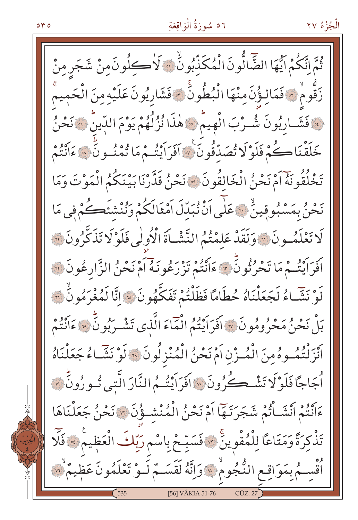#### ٥٦ سُورَةُ الْوَاقِعَةِ

ثُمَّ انَّكُمْ ايُّهَا الضَّالُّونَ الْمُكَذِّبُونٍّ ۞ لَاكْلِ فَونْ مِنْ شَجَرِ مِنْ زَقُّومْ ۞ فَمَالِؤُنَّ مِنْهَا الْبُطُونَ ۞ فَشَارِبُونَ عَلَيْهِ مِنَ الْحَمِيمَ فَشَارِبُونَ شُـرْبَ الْهِيمْ \* هٰذَا نُزُلُهُمْ يَوْمَ الدِّينُ \* نَحْنُ خَلَقْنَا كُمْ فَلَوْلَا تُصَدِّقُونَ \* أَفَرَايَتُمْ مَا تُمْنُـونَّ \* ءَانَتُمْ تَخْلُقُونَهُ آمْ نَحْنُ الْخَالقُونَ ۞ نَحْنُ قَدَّرْنَا بَيْنَكُمُ الْمَوْتَ وَمَا نَحْنُ بِمَسْبُوقِينٌ ۚ يَعَلَّى أَنْ نُبَدِّلَ أَمْثَالَكُمْ وَنُنْشَئَكُمْ فِي مَا لَا تَعْلَمُونَ لَّهَ وَلَقَدْ عَلَمْتُمُ النَّشْيَاةَ الْأُولٰى فَلَوْلَا تَذَكَّرُونَ لَّهَ كَرَبَهُ فِي مَا تَحْرُثُونَ \* عَانْتُمْ تَزْرَعُونَهُ أَمْ نَحْنُ الزَّارِعُونَ ﴾ لَوْ نَشَّاءُ لَجَعَلْنَاهُ حُطَامًا فَظَلْتُمْ تَفَكَّهُونَ \* انَّا لَمُغْرَمُونُ \* بَلْ نَحْنُ مَحْرُومُونَ ۞ افَرَاَيْتُمُ الْمَاءَ الَّذِي تَشْرَبُونَّ ۞ ءَانْتُمْ اَنْزَلْتُمُوهُ مِنَ الْمُنْزِنِ اَمْ نَحْنُ الْمُنْزِلُونَ ۞ لَوْ نَشَاءُ جَعَلْنَاهُ أَجَاجًا فَلَوْ لَا تَشْـڪُرُونَ \* اَفَرَايَتُـمُ النَّارَ الَّتِي تُـو رُونَ ۞ ءَانْتُمْ اَنْشَـاْتُمْ شَجَرَتَـهَا اَمْ نَحْنُ الْمُنْشَـؤُنَ 7 نَحْنُ جَعَلْنَاهَا تَذْكِرَةً وَمَتَاعًا لِلْمُقْوِينَ \* فَسَبِّحْ بِاسْمِ رَبِّكَ الْعَظِيمَ \* فَلَّا أَقْسِـمُ بِمَوَاقِـعِ النُّجُومُ \* وَإِنَّهُ لَقَسَـمٌ لَـوْ تَعْلَمُونَ عَظِيمٌ \* [56] VÂKIA 51-76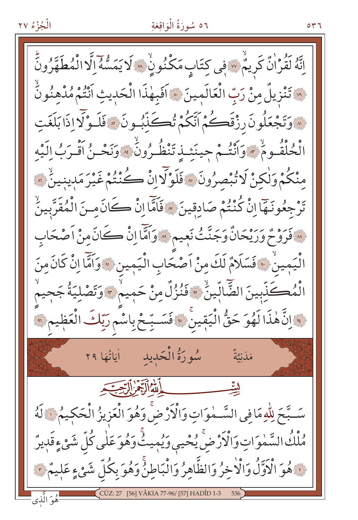### ٥٦ سُورَةُ الْوَاقِعَةِ

اِنَّهُ لَقُرْاٰنٌ كَرِيمٌ ۚ وَ اللَّهُ عَنْهُ وَ لَي لَهُمْ لَا يَمَسُّهُ إِلَّا الْمُطَهَّرُونَّ ِ ۚ تَنْزِيلُ مِنْ رَبِّ الْعَالَمِينَ ۚ ۚ اَفَبِهٰذَا الْحَدِيثِ اَنْتُمْ مُلْهِنُونَ <u>۞</u>وَتَجْعَلُونَ رِزْقَڪُمْ اَتَّكُمْ تُڪَذَّبُـونَ ۞ فَلَـوْلَا إِذَا بَلَغَتِ الْحُلْقُـومٌ \* وَأَنْتُـمْ جِينَئِـذِتَنْظُـرُونُ \* وَنَحْـنُ أَقْـرَبُ اِلَيْه منْكُمْ وَلْكِنْ لَا تُبْصِرُونَ ۞ فَلَوْلَا إِنْ كُنْتُمْ غَيْرَ مَدِينِينٌ ۞ تَرْجِعُونَـهَا إِنْ كُنْتُمْ صَادِقِينَ ۞ فَأَمَّا إِنْ كَانَ مِـنَ الْمُقَرَّبِينُ » فَرَوْحٌ وَرَيْحَانٌ وَجَنَّتُ نَعِيمٍ » وَأَمَّا إِنْ كَانَ مِنْ أَصْحَابِ الْيَمِينُ \* فَسَلَامٌ لَكَ مِنْ اَصْحَابِ الْيَمِينِ \* وَاَمَّا إِنْ كَانَ مِنَ الْمُكَذِّبِينَ الضَّالِّينُ \* فَنُزُلٌ مِنْ حَمِيمٌ \* وَتَصْلِيَةُ جَحِيمُ فَوَانَّ هٰذَا لَهُوَ حَقُّ الْيَقِينَ \* فَسَـبِّحْ بِاسْمِ رَبِّكَ الْعَظِيمِ \*\* سُورَةُ الْحَدِيدِ اٰ يَاتُهَا ٢٩ مَلَيْتَةٌ سَبَّحَ لِلْهِمَافِي السَّـمٰوَاتِ وَالْأَرْضَ وَهُوَ الْعَزِيزُ الْحَكِيمُ لَا لَهُ مُلْكُ السَّمٰوَاتِ وَالْأَرْضِ يُحْيِي وَيُمِيثٌ وَهُوَ عَلٰى كُلِّ شَيْءٍقَدِيرٌ نَّةٍ هُوَ الْأَوَّلُ وَالْأَخِرُ وَالظَّاهِرُ وَالْبَاطِنُّ وَهُوَ بِكُلِّ شَيْءٍ عَلِيمٌ تَ هُوَ الَّذِي

٥٣٦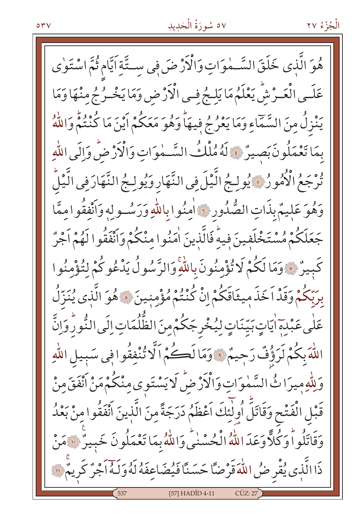### ٥٧ سُورَةُ الْحَدِيدِ

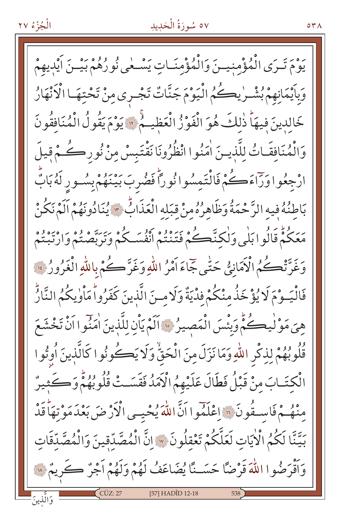### ٥٧ سُورَةُ الْحَدِيدِ

بِهِ مَ تَـرَى الْمُؤْمِنِيـنَ وَالْمُؤْمِنَـاتِ يَسْـعٰى نُورُهُمْ بَيْـنَ اَيْدِيهِمْ وَبِأَيْمَانِهِمْ بُشْرٍٰ يِكُمُ الْيَوْمَ جَنَّاتٌ تَجْرِي مِنْ تَحْتِهَـا الْأَنْهَارُ خَالدينَ فيهَا ذٰلكَ هُوَ الْفَوْزُ الْعَظِيمُ \* يَوْمَ يَقُولُ الْمُنَافِقُونَ وَالْمُنَافِقَاتُ لِلَّذِينَ اٰمَنُوا انْظُرُونَا نَقْتَبِسْ مِنْ نُورِكُمْ قِيلَ ارْجِعُوا وَرَاءَكُمْ فَالْتَمِسُوانُوراً فَضُربَ بَيْنَهُمْ بِسُـورٍ لَهُ بَابٌ بَاطِنُهُ فِيهِ الرَّحْمَةُ وَظَاهِرُهُ مِنْ قِبَلِهِ الْعَذَابُ ٣ يُنَادُونَهُمْ اَلَمْ نَكُنْ بَمَكُمْ قَالُوا بَلْي وَلٰكنَّڪُمْ فَتَنْتُمْ أَنْفُسَكُمْ وَيَرَبَّهُ وُ وَرِبَّصْتُمْ وَارْتِبْتُمْ وَغَرَّتْكُمُ الْأَمَانِيُّ حَتَّى جَمَاءَ أَمْرُ اللَّهِ وَغَرَّ كُمْ بِاللَّهِ الْغَرُورُ فِيهِ فَالْيَــوْمَ لَا يُؤْخَذُ مِنْكُمْ فِدْيَةٌ وَلَا مــنَ الَّذينَ كَفَرُوا مَاْوٰيكُمُ النَّارُّ هِيَ مَوْلْيِكُمْ وَبِئْسَ الْمَصِيرُ ۞ آلَمْ يَأْنِ لِلَّذِينَ اٰمَنُوا اَنْ تَخْشَعَ قُلُوبُهُمْ لِذِكْرِ اللّهِ وَمَا نَزَلَ مِنَ الْحَقّْ وَلَا يَكْونُوا كَالَّذِينَ أُوتُوا الْكِتَـابَ مِنْ قَبْلُ فَطَالَ عَلَيْهِمُ الْأَمَدُ فَقَسَـتْ قُلُوبُهُمْ وَكَثِيرٌ مِنْهُمْ فَاسِيقُونَ ۚ وَاعْلَمُوا أَنَّ اللَّهَ يُحْيِسِي الْأَرْضَ بَعْدَ مَوْتِهَاْ قَدْ بَيَّنَّا لَكُمُ الْأَيَاتِ لَعَلَّكُمْ تَعْقِلُونَ \* إِنَّ الْمُصَّدِّقِينَ وَالْمُصَّدِّقَاتِ وَأَقْرَضُوا اللَّهَ قَرْضًا حَسَــنًا يُضَاعَفُ لَهُمْ وَلَهُمْ أَجْرٌ كَرِيمٌ \* [57] HADÎD 12-18

 $\circ$   $\star$   $\wedge$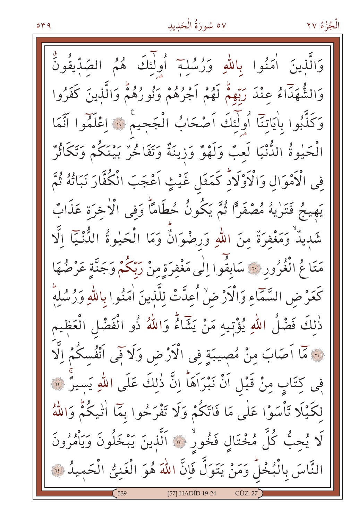# ٥٧ سُورَةُ الْحَدِيدِ

وَالَّذِينَ أُمَنُوا بِاللَّهِ وَرُسُلِهِ أُولٰئِكَ هُمُ الصّدّيقُونُّ وَالشُّهَدَاءُ عِنْدَ رَبِّهِمْ لَهُمْ أَجْرُهُمْ وَنُورُهُمْ وَالَّذِينَ كَفَرُوا وَكَذَّبُوا بِأَيَاتِنَا أُولَٰئِكَ آصْحَابُ الْجَحِيمُ ۚ وَاعْلَمُوا آَتَمَا الْحَيْوةُ الدُّنْيَا لَعبٌ وَلَهْوٌ وَزِينَةٌ وَتَفَالْحُرٌ بَيْنَكُمْ وَتَكَاثُرٌ فِي الْأَمْوَالِ وَالْأَوْلَادِّ كَمَثَلِ غَيْثٍ اَعْجَبَ الْكُفَّارَ نَبَاتُهُ ثُمَّ يَهِيجُ فَتَرٰيهُ مُصْفَرًا ثُمَّ يَكُونُ حُطَامًا وَفي الْأخرَة عَذَابٌ شَبِيدٌ وَمَغْفِرَةٌ مِنَ اللهِ وَرِضْوَانٌ وَمَا الْحَيْوةُ الدُّنْيَا الَّا مَتَاعُ الْغُرُورِ ۞ سَابِقُوا اِلٰى مَغْفِرَةِ مِنْ رَبِّكُمْ وَجَنَّةٍ عَرْضُهَا كَعَرْضِ السَّمَّاءِ وَالْأَرْضُ أُعِدَّتْ لِلَّذِينَ اٰمَنُوا بِاللَّهِ وَرُسُلِهِ ذٰلِكَ فَضْلُ اللّهِ يُؤْتِيهِ مَنْ يَثّمَاءُ وَاللّهُ ذُو الْفَضْلِ الْعَظِيم .<br>« مَا اَصَابَ مِنْ مُصِيبَةٍ فِى الْأَرْضِ وَلَا فِى اَنْفُسكُمْ اِلَّا فِي كِتَابٍ مِنْ قَبْلِ اَنْ نَبْرَاَهَا ۚ إِنَّ ذٰلِكَ عَلَى اللَّهِ يَسيرٌ ۞ لِكَيْلَا تَأْسَوْا عَلَى مَا فَاتَكُمْ وَلَا تَفْرَحُوا بِمَا اٰتِيكُمْ وَاللَّهُ لَا يُحِبُّ كُلَّ مُخْتَالٍ فَخُورٌ ۞ اَلَّذِينَ يَبْخَلُونَ وَيَأْمُرُونَ النَّاسَ بِالْبُخْلُ وَمَنْ يَتَوَلَّ فَإِنَّ اللَّهَ هُوَ الْغَنِيُّ الْحَمِيدُ ۞ [57] HADÎD 19-24